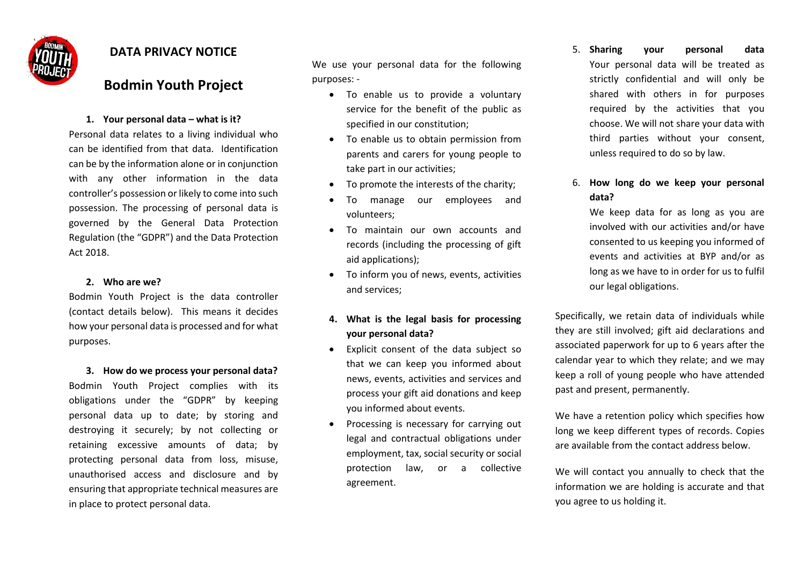

# **DATA PRIVACY NOTICE**

# **Bodmin Youth Project**

### **1. Your personal data – what is it?**

Personal data relates to a living individual who can be identified from that data. Identification can be by the information alone or in conjunction with any other information in the data controller's possession or likely to come into such possession. The processing of personal data is governed by the General Data Protection Regulation (the "GDPR") and the Data Protection Act 2018.

### **2. Who are we?**

Bodmin Youth Project is the data controller (contact details below). This means it decides how your personal data is processed and for what purposes.

**3. How do we process your personal data?** Bodmin Youth Project complies with its obligations under the "GDPR" by keeping personal data up to date; by storing and destroying it securely; by not collecting or retaining excessive amounts of data; by protecting personal data from loss, misuse, unauthorised access and disclosure and by ensuring that appropriate technical measures are in place to protect personal data.

We use your personal data for the following purposes: -

- To enable us to provide a voluntary service for the benefit of the public as specified in our constitution;
- To enable us to obtain permission from parents and carers for young people to take part in our activities;
- To promote the interests of the charity;
- To manage our employees and volunteers;
- To maintain our own accounts and records (including the processing of gift aid applications);
- To inform you of news, events, activities and services;
- **4. What is the legal basis for processing your personal data?**
- Explicit consent of the data subject so that we can keep you informed about news, events, activities and services and process your gift aid donations and keep you informed about events.
- Processing is necessary for carrying out legal and contractual obligations under employment, tax, social security or social protection law, or a collective agreement.

5. **Sharing your personal data** Your personal data will be treated as strictly confidential and will only be shared with others in for purposes required by the activities that you choose. We will not share your data with third parties without your consent, unless required to do so by law.

## 6. **How long do we keep your personal data?**

We keep data for as long as you are involved with our activities and/or have consented to us keeping you informed of events and activities at BYP and/or as long as we have to in order for us to fulfil our legal obligations.

Specifically, we retain data of individuals while they are still involved; gift aid declarations and associated paperwork for up to 6 years after the calendar year to which they relate; and we may keep a roll of young people who have attended past and present, permanently.

We have a retention policy which specifies how long we keep different types of records. Copies are available from the contact address below.

We will contact you annually to check that the information we are holding is accurate and that you agree to us holding it.